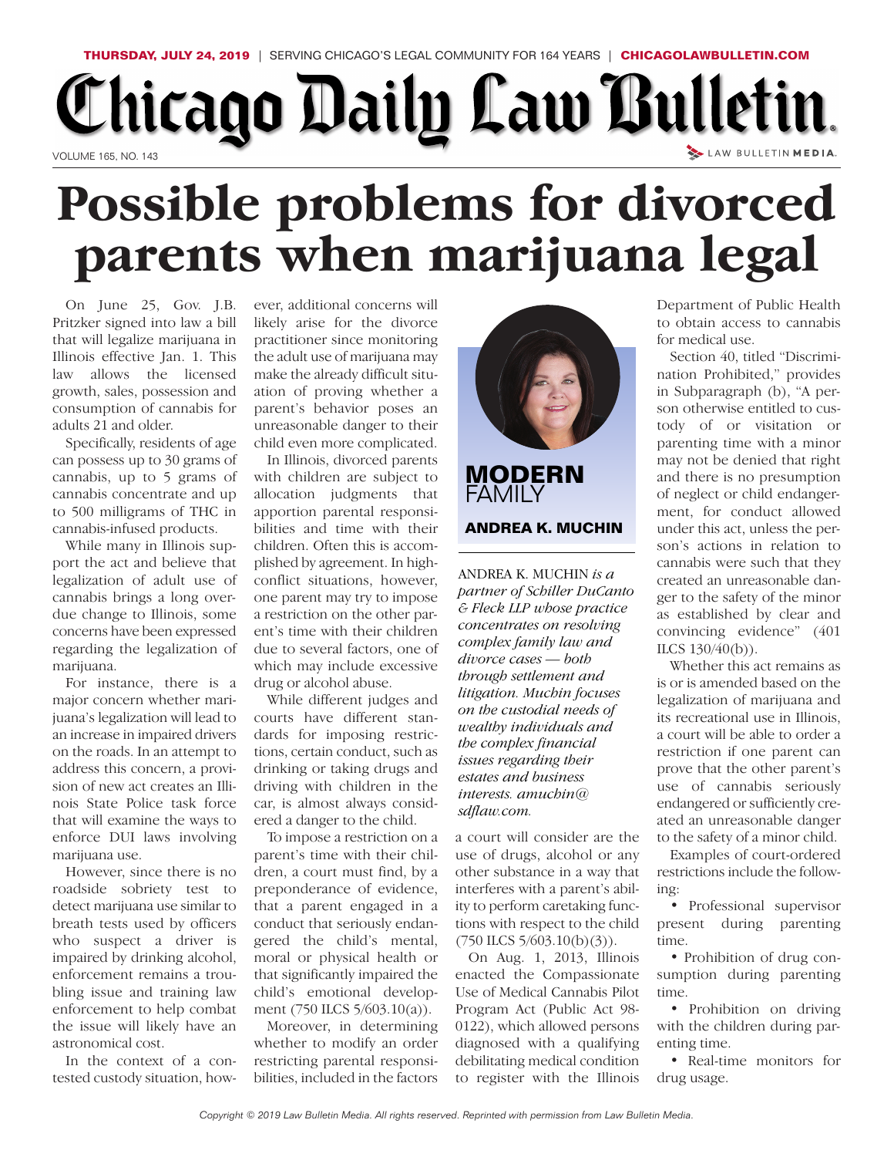## **THURSDAY, JULY 24, 2019** | SERVING CHICAGO'S LEGAL COMMUNITY FOR 164 YEARS | **CHICAGOLAWBULLETIN.COM** Chicago Daily Law Bulletin. LAW BULLETIN MEDIA. VOLUME 165, NO. 143

## **Possible problems for divorced parents when marijuana legal**

On June 25, Gov. J.B. Pritzker signed into law a bill that will legalize marijuana in Illinois effective Jan. 1. This law allows the licensed growth, sales, possession and consumption of cannabis for adults 21 and older.

Specifically, residents of age can possess up to 30 grams of cannabis, up to 5 grams of cannabis concentrate and up to 500 milligrams of THC in cannabis-infused products.

While many in Illinois support the act and believe that legalization of adult use of cannabis brings a long overdue change to Illinois, some concerns have been expressed regarding the legalization of marijuana.

For instance, there is a major concern whether marijuana's legalization will lead to an increase in impaired drivers on the roads. In an attempt to address this concern, a provision of new act creates an Illinois State Police task force that will examine the ways to enforce DUI laws involving marijuana use.

However, since there is no roadside sobriety test to detect marijuana use similar to breath tests used by officers who suspect a driver is impaired by drinking alcohol, enforcement remains a troubling issue and training law enforcement to help combat the issue will likely have an astronomical cost.

In the context of a contested custody situation, however, additional concerns will likely arise for the divorce practitioner since monitoring the adult use of marijuana may make the already difficult situation of proving whether a parent's behavior poses an unreasonable danger to their child even more complicated.

In Illinois, divorced parents with children are subject to allocation judgments that apportion parental responsibilities and time with their children. Often this is accomplished by agreement. In highconflict situations, however, one parent may try to impose a restriction on the other parent's time with their children due to several factors, one of which may include excessive drug or alcohol abuse.

While different judges and courts have different standards for imposing restrictions, certain conduct, such as drinking or taking drugs and driving with children in the car, is almost always considered a danger to the child.

To impose a restriction on a parent's time with their children, a court must find, by a preponderance of evidence, that a parent engaged in a conduct that seriously endangered the child's mental, moral or physical health or that significantly impaired the child's emotional development (750 ILCS 5/603.10(a)).

Moreover, in determining whether to modify an order restricting parental responsibilities, included in the factors



**MODERN** FAMII Y **ANDREA K. MUCHIN**

ANDREA K. MUCHIN *is a partner of Schiller DuCanto & Fleck LLP whose practice concentrates on resolving complex family law and divorce cases — both through settlement and litigation. Muchin focuses on the custodial needs of wealthy individuals and the complex financial issues regarding their estates and business interests. amuchin@*  $s$ *dflaw.com.* 

a court will consider are the use of drugs, alcohol or any other substance in a way that interferes with a parent's ability to perform caretaking functions with respect to the child  $(750$  ILCS  $5/603.10(b)(3)$ ).

On Aug. 1, 2013, Illinois enacted the Compassionate Use of Medical Cannabis Pilot Program Act (Public Act 98- 0122), which allowed persons diagnosed with a qualifying debilitating medical condition to register with the Illinois

Department of Public Health to obtain access to cannabis for medical use.

Section 40, titled "Discrimination Prohibited," provides in Subparagraph (b), "A person otherwise entitled to custody of or visitation or parenting time with a minor may not be denied that right and there is no presumption of neglect or child endangerment, for conduct allowed under this act, unless the person's actions in relation to cannabis were such that they created an unreasonable danger to the safety of the minor as established by clear and convincing evidence" (401 ILCS 130/40(b)).

Whether this act remains as is or is amended based on the legalization of marijuana and its recreational use in Illinois, a court will be able to order a restriction if one parent can prove that the other parent's use of cannabis seriously endangered or sufficiently created an unreasonable danger to the safety of a minor child.

Examples of court-ordered restrictions include the following:

• Professional supervisor present during parenting time.

• Prohibition of drug consumption during parenting time.

• Prohibition on driving with the children during parenting time.

• Real-time monitors for drug usage.